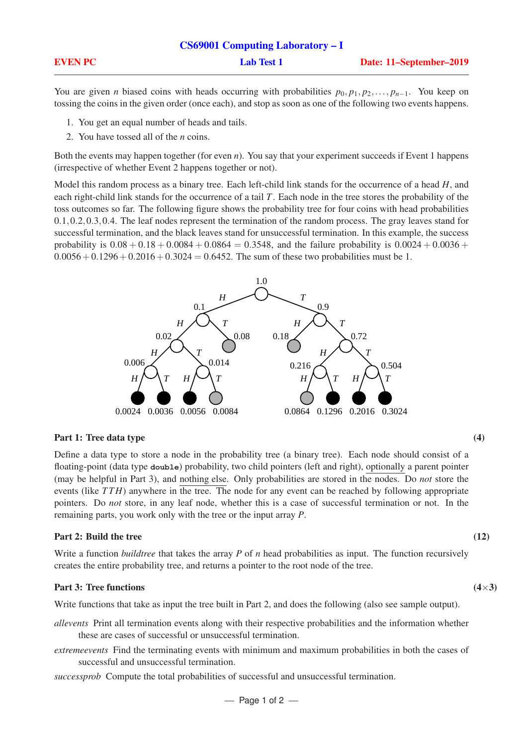| <b>CS69001 Computing Laboratory – I</b> |                   |                         |  |
|-----------------------------------------|-------------------|-------------------------|--|
| <b>EVEN PC</b>                          | <b>Lab Test 1</b> | Date: 11–September–2019 |  |

You are given *n* biased coins with heads occurring with probabilities  $p_0, p_1, p_2, \ldots, p_{n-1}$ . You keep on tossing the coins in the given order (once each), and stop as soon as one of the following two events happens.

- 1. You get an equal number of heads and tails.
- 2. You have tossed all of the *n* coins.

Both the events may happen together (for even *n*). You say that your experiment succeeds if Event 1 happens (irrespective of whether Event 2 happens together or not).

Model this random process as a binary tree. Each left-child link stands for the occurrence of a head *H*, and each right-child link stands for the occurrence of a tail *T*. Each node in the tree stores the probability of the toss outcomes so far. The following figure shows the probability tree for four coins with head probabilities 0.1,0.2,0.3,0.4. The leaf nodes represent the termination of the random process. The gray leaves stand for successful termination, and the black leaves stand for unsuccessful termination. In this example, the success probability is  $0.08 + 0.18 + 0.0084 + 0.0864 = 0.3548$ , and the failure probability is  $0.0024 + 0.0036 +$  $0.0056 + 0.1296 + 0.2016 + 0.3024 = 0.6452$ . The sum of these two probabilities must be 1.



### Part 1: Tree data type (4)

Define a data type to store a node in the probability tree (a binary tree). Each node should consist of a floating-point (data type **double**) probability, two child pointers (left and right), optionally a parent pointer (may be helpful in Part 3), and nothing else. Only probabilities are stored in the nodes. Do *not* store the events (like *TTH*) anywhere in the tree. The node for any event can be reached by following appropriate pointers. Do *not* store, in any leaf node, whether this is a case of successful termination or not. In the remaining parts, you work only with the tree or the input array *P*.

### Part 2: Build the tree (12)

Write a function *buildtree* that takes the array *P* of *n* head probabilities as input. The function recursively creates the entire probability tree, and returns a pointer to the root node of the tree.

# Part 3: Tree functions (4×3)

Write functions that take as input the tree built in Part 2, and does the following (also see sample output).

- *allevents* Print all termination events along with their respective probabilities and the information whether these are cases of successful or unsuccessful termination.
- *extremeevents* Find the terminating events with minimum and maximum probabilities in both the cases of successful and unsuccessful termination.
- *successprob* Compute the total probabilities of successful and unsuccessful termination.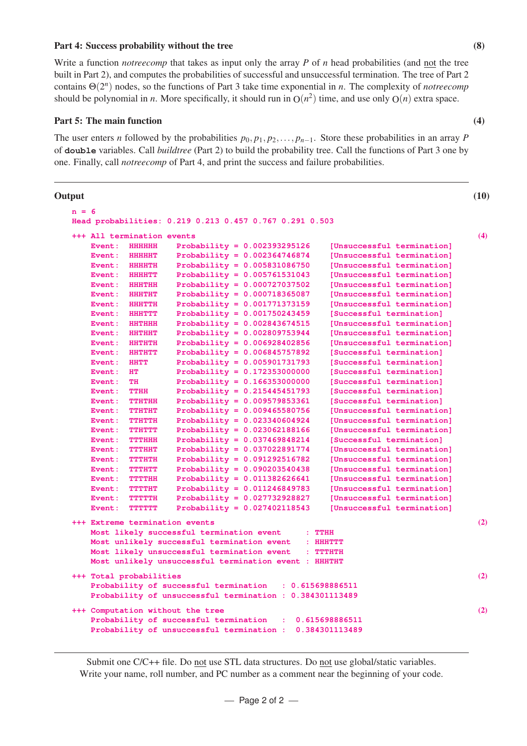## Part 4: Success probability without the tree (8)

Write a function *notreecomp* that takes as input only the array *P* of *n* head probabilities (and not the tree built in Part 2), and computes the probabilities of successful and unsuccessful termination. The tree of Part 2 contains Θ(2 *n* ) nodes, so the functions of Part 3 take time exponential in *n*. The complexity of *notreecomp* should be polynomial in *n*. More specifically, it should run in  $O(n^2)$  time, and use only  $O(n)$  extra space.

# Part 5: The main function (4)

The user enters *n* followed by the probabilities  $p_0, p_1, p_2, \ldots, p_{n-1}$ . Store these probabilities in an array *P* of **double** variables. Call *buildtree* (Part 2) to build the probability tree. Call the functions of Part 3 one by one. Finally, call *notreecomp* of Part 4, and print the success and failure probabilities.

## Output (10)

| $n = 6$ |                                                                                      |                                |                                                                   |     |  |
|---------|--------------------------------------------------------------------------------------|--------------------------------|-------------------------------------------------------------------|-----|--|
|         |                                                                                      |                                | Head probabilities: 0.219 0.213 0.457 0.767 0.291 0.503           |     |  |
|         |                                                                                      | +++ All termination events     |                                                                   | (4) |  |
|         | Event:                                                                               | <b>HHHHHH</b>                  | Probability = $0.002393295126$<br>[Unsuccessful termination]      |     |  |
|         | Event:                                                                               | <b>HHHHHT</b>                  | Probability = $0.002364746874$<br>[Unsuccessful termination]      |     |  |
|         | Event:                                                                               | ererent                        | Probability = $0.005831086750$<br>[Unsuccessful termination]      |     |  |
|         | Event:                                                                               | <b>HHHHTT</b>                  | Probability = $0.005761531043$<br>[Unsuccessful termination]      |     |  |
|         | Event: HHHTHH                                                                        |                                | Probability = $0.000727037502$<br>[Unsuccessful termination]      |     |  |
|         | Event:                                                                               | HEITHE                         | Probability = $0.000718365087$<br>[Unsuccessful termination]      |     |  |
|         | Event: HHHTTH                                                                        |                                | Probability = $0.001771373159$<br>[Unsuccessful termination]      |     |  |
|         | Event:                                                                               | <b>HHETTT</b>                  | Probability = $0.001750243459$<br>[Successful termination]        |     |  |
|         | Event:                                                                               | HHTHHH                         | Probability = $0.002843674515$<br>[Unsuccessful termination]      |     |  |
|         | Event:                                                                               | <b>HHTHHT</b>                  | Probability = $0.002809753944$<br>[Unsuccessful termination]      |     |  |
|         | Event:                                                                               | <b>HHTHTH</b>                  | Probability = $0.006928402856$<br>[Unsuccessful termination]      |     |  |
|         | Event:                                                                               | <b>EISUBSURF</b>               | Probability = $0.006845757892$<br>[Successful termination]        |     |  |
|         | Event:                                                                               | <b>HHTT</b>                    | Probability = $0.005901731793$<br>[Successful termination]        |     |  |
|         | Event:                                                                               | HТ                             | Probability = $0.172353000000$<br>[Successful termination]        |     |  |
|         | Event:                                                                               | <b>TH</b>                      | Probability = $0.166353000000$<br>[Successful termination]        |     |  |
|         | Event:                                                                               | TTHH                           | Probability = $0.215445451793$<br>[Successful termination]        |     |  |
|         | Event:                                                                               | TTHTHH                         | Probability = $0.009579853361$<br>[Successful termination]        |     |  |
|         | Event:                                                                               | TTHTHT                         | Probability = $0.009465580756$<br>[Unsuccessful termination]      |     |  |
|         | Event:                                                                               | TTHTTE                         | [Unsuccessful termination]<br>Probability = $0.023340604924$      |     |  |
|         | Event:                                                                               | TTHTTT                         | Probability = $0.023062188166$<br>[Unsuccessful termination]      |     |  |
|         | Event:                                                                               | TTTHEFE                        | Probability = $0.037469848214$<br>[Successful termination]        |     |  |
|         | Event:                                                                               | <b>THEFT CLOSE</b>             | [Unsuccessful termination]<br>Probability = $0.037022891774$      |     |  |
|         | Event:                                                                               | TUTULUNI                       | Probability = $0.091292516782$<br>[Unsuccessful termination]      |     |  |
|         | Event:                                                                               | TTTHTT                         | Probability = $0.090203540438$<br>[Unsuccessful termination]      |     |  |
|         | Event:                                                                               | TYTTININ                       | Probability = $0.011382626641$<br>[Unsuccessful termination]      |     |  |
|         | Event:                                                                               | THEFTHEIR                      | Probability = $0.011246849783$<br>[Unsuccessful termination]      |     |  |
|         | Event:                                                                               | THEFTHE                        | Probability = $0.027732928827$<br>[Unsuccessful termination]      |     |  |
|         | Event:                                                                               | <b>THEFT THEFT</b>             | Probability = $0.027402118543$<br>[Unsuccessful termination]      |     |  |
|         |                                                                                      | +++ Extreme termination events |                                                                   | (2) |  |
|         |                                                                                      |                                | Most likely successful termination event<br>$:$ $TTHH$            |     |  |
|         |                                                                                      |                                | Most unlikely successful termination event<br>$\therefore$ HHHTTT |     |  |
|         |                                                                                      |                                | Most likely unsuccessful termination event<br>÷.<br>TITULITE      |     |  |
|         |                                                                                      |                                | Most unlikely unsuccessful termination event : HHHTHT             |     |  |
|         |                                                                                      |                                |                                                                   | (2) |  |
|         | +++ Total probabilities<br>Probability of successful termination<br>: 0.615698886511 |                                |                                                                   |     |  |
|         | Probability of unsuccessful termination : 0.384301113489                             |                                |                                                                   |     |  |
|         |                                                                                      |                                |                                                                   |     |  |
|         |                                                                                      |                                | +++ Computation without the tree                                  | (2) |  |
|         | Probability of successful termination<br>0.615698886511                              |                                |                                                                   |     |  |
|         |                                                                                      |                                | Probability of unsuccessful termination :<br>0.384301113489       |     |  |
|         |                                                                                      |                                |                                                                   |     |  |

Submit one C/C++ file. Do not use STL data structures. Do not use global/static variables. Write your name, roll number, and PC number as a comment near the beginning of your code.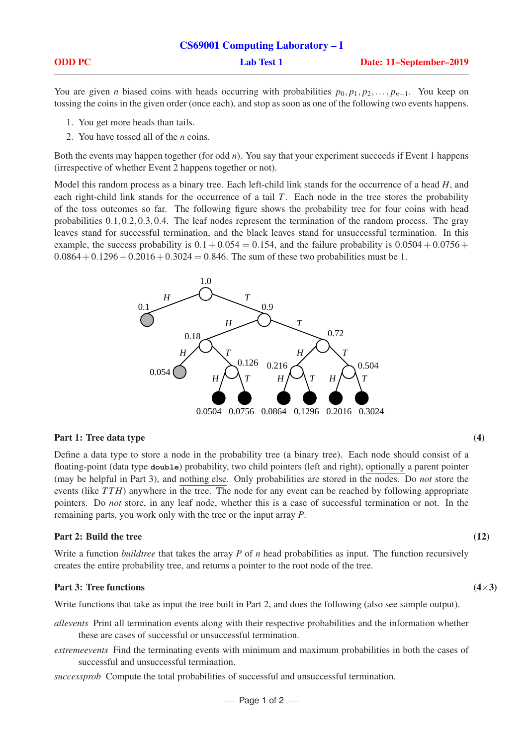|               | <b>CS69001 Computing Laboratory – I</b> |                         |  |
|---------------|-----------------------------------------|-------------------------|--|
| <b>ODD PC</b> | <b>Lab Test 1</b>                       | Date: 11–September–2019 |  |

You are given *n* biased coins with heads occurring with probabilities  $p_0, p_1, p_2, \ldots, p_{n-1}$ . You keep on tossing the coins in the given order (once each), and stop as soon as one of the following two events happens.

- 1. You get more heads than tails.
- 2. You have tossed all of the *n* coins.

Both the events may happen together (for odd *n*). You say that your experiment succeeds if Event 1 happens (irrespective of whether Event 2 happens together or not).

Model this random process as a binary tree. Each left-child link stands for the occurrence of a head *H*, and each right-child link stands for the occurrence of a tail *T*. Each node in the tree stores the probability of the toss outcomes so far. The following figure shows the probability tree for four coins with head probabilities 0.1,0.2,0.3,0.4. The leaf nodes represent the termination of the random process. The gray leaves stand for successful termination, and the black leaves stand for unsuccessful termination. In this example, the success probability is  $0.1 + 0.054 = 0.154$ , and the failure probability is  $0.0504 + 0.0756 +$  $0.0864 + 0.1296 + 0.2016 + 0.3024 = 0.846$ . The sum of these two probabilities must be 1.



### Part 1: Tree data type (4)

Define a data type to store a node in the probability tree (a binary tree). Each node should consist of a floating-point (data type **double**) probability, two child pointers (left and right), optionally a parent pointer (may be helpful in Part 3), and nothing else. Only probabilities are stored in the nodes. Do *not* store the events (like *TTH*) anywhere in the tree. The node for any event can be reached by following appropriate pointers. Do *not* store, in any leaf node, whether this is a case of successful termination or not. In the remaining parts, you work only with the tree or the input array *P*.

### Part 2: Build the tree (12)

Write a function *buildtree* that takes the array *P* of *n* head probabilities as input. The function recursively creates the entire probability tree, and returns a pointer to the root node of the tree.

### Part 3: Tree functions  $(4\times3)$

Write functions that take as input the tree built in Part 2, and does the following (also see sample output).

- *allevents* Print all termination events along with their respective probabilities and the information whether these are cases of successful or unsuccessful termination.
- *extremeevents* Find the terminating events with minimum and maximum probabilities in both the cases of successful and unsuccessful termination.
- *successprob* Compute the total probabilities of successful and unsuccessful termination.